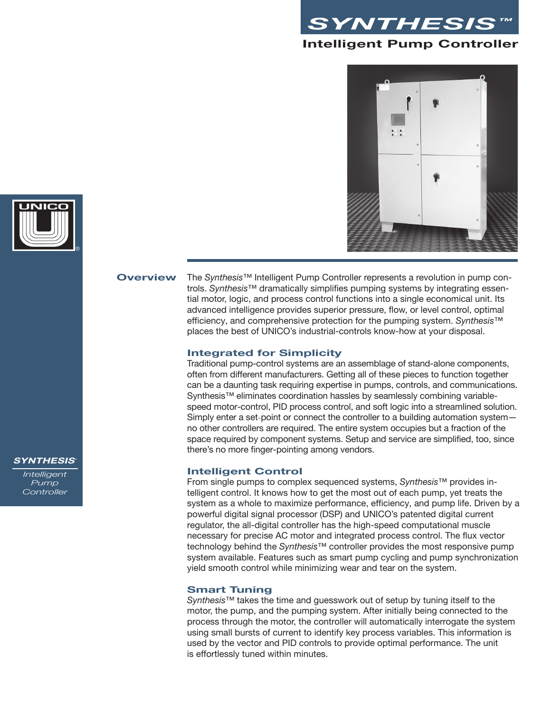





**Overview** The *Synthesis™* Intelligent Pump Controller represents a revolution in pump controls. *Synthesis™* dramatically simplifies pumping systems by integrating essential motor, logic, and process control functions into a single economical unit. Its advanced intelligence provides superior pressure, flow, or level control, optimal efficiency, and comprehensive protection for the pumping system. *Synthesis™*  places the best of UNICO's industrial-controls know-how at your disposal.

#### **Integrated for Simplicity**

Traditional pump-control systems are an assemblage of stand-alone components, often from different manufacturers. Getting all of these pieces to function together can be a daunting task requiring expertise in pumps, controls, and communications. Synthesis™ eliminates coordination hassles by seamlessly combining variablespeed motor-control, PID process control, and soft logic into a streamlined solution. Simply enter a set-point or connect the controller to a building automation system no other controllers are required. The entire system occupies but a fraction of the space required by component systems. Setup and service are simplified, too, since there's no more finger-pointing among vendors.

#### **Intelligent Control**

From single pumps to complex sequenced systems, *Synthesis™* provides intelligent control. It knows how to get the most out of each pump, yet treats the system as a whole to maximize performance, efficiency, and pump life. Driven by a powerful digital signal processor (DSP) and UNICO's patented digital current regulator, the all-digital controller has the high-speed computational muscle necessary for precise AC motor and integrated process control. The flux vector technology behind the *Synthesis™* controller provides the most responsive pump system available. Features such as smart pump cycling and pump synchronization yield smooth control while minimizing wear and tear on the system.

#### **Smart Tuning**

*Synthesis™* takes the time and guesswork out of setup by tuning itself to the motor, the pump, and the pumping system. After initially being connected to the process through the motor, the controller will automatically interrogate the system using small bursts of current to identify key process variables. This information is used by the vector and PID controls to provide optimal performance. The unit is effortlessly tuned within minutes.

#### **SYNTHESIS™**

*Intelligent Pump Controller*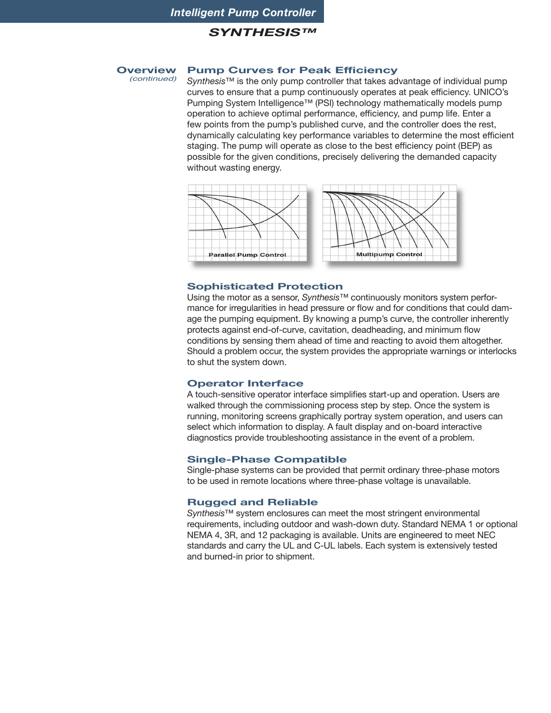#### **SYNTHESIS™**

#### **Overview** *(continued)* **Pump Curves for Peak Efficiency**

*Synthesis™* is the only pump controller that takes advantage of individual pump curves to ensure that a pump continuously operates at peak efficiency. UNICO's Pumping System Intelligence™ (PSI) technology mathematically models pump operation to achieve optimal performance, efficiency, and pump life. Enter a few points from the pump's published curve, and the controller does the rest, dynamically calculating key performance variables to determine the most efficient staging. The pump will operate as close to the best efficiency point (BEP) as possible for the given conditions, precisely delivering the demanded capacity without wasting energy.



#### **Sophisticated Protection**

Using the motor as a sensor, *Synthesis™* continuously monitors system performance for irregularities in head pressure or flow and for conditions that could damage the pumping equipment. By knowing a pump's curve, the controller inherently protects against end-of-curve, cavitation, deadheading, and minimum flow conditions by sensing them ahead of time and reacting to avoid them altogether. Should a problem occur, the system provides the appropriate warnings or interlocks to shut the system down.

#### **Operator Interface**

A touch-sensitive operator interface simplifies start-up and operation. Users are walked through the commissioning process step by step. Once the system is running, monitoring screens graphically portray system operation, and users can select which information to display. A fault display and on-board interactive diagnostics provide troubleshooting assistance in the event of a problem.

#### **Single-Phase Compatible**

Single-phase systems can be provided that permit ordinary three-phase motors to be used in remote locations where three-phase voltage is unavailable.

#### **Rugged and Reliable**

*Synthesis™* system enclosures can meet the most stringent environmental requirements, including outdoor and wash-down duty. Standard NEMA 1 or optional NEMA 4, 3R, and 12 packaging is available. Units are engineered to meet NEC standards and carry the UL and C-UL labels. Each system is extensively tested and burned-in prior to shipment.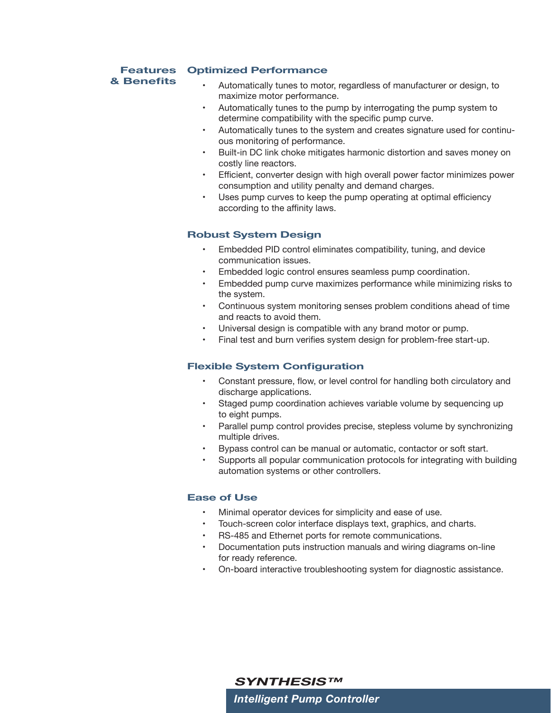## **Features Optimized Performance**

## **& Benefits**

- Automatically tunes to motor, regardless of manufacturer or design, to maximize motor performance.
- Automatically tunes to the pump by interrogating the pump system to determine compatibility with the specific pump curve.
- Automatically tunes to the system and creates signature used for continuous monitoring of performance.
- Built-in DC link choke mitigates harmonic distortion and saves money on costly line reactors.
- Efficient, converter design with high overall power factor minimizes power consumption and utility penalty and demand charges.
- Uses pump curves to keep the pump operating at optimal efficiency according to the affinity laws.

### **Robust System Design**

- Embedded PID control eliminates compatibility, tuning, and device communication issues.
- Embedded logic control ensures seamless pump coordination.
- Embedded pump curve maximizes performance while minimizing risks to the system.
- Continuous system monitoring senses problem conditions ahead of time and reacts to avoid them.
- Universal design is compatible with any brand motor or pump.
- Final test and burn verifies system design for problem-free start-up.

#### **Flexible System Configuration**

- Constant pressure, flow, or level control for handling both circulatory and discharge applications.
- Staged pump coordination achieves variable volume by sequencing up to eight pumps.
- Parallel pump control provides precise, stepless volume by synchronizing multiple drives.
- Bypass control can be manual or automatic, contactor or soft start.
- Supports all popular communication protocols for integrating with building automation systems or other controllers.

#### **Ease of Use**

- Minimal operator devices for simplicity and ease of use.
- Touch-screen color interface displays text, graphics, and charts.
- RS-485 and Ethernet ports for remote communications.
- Documentation puts instruction manuals and wiring diagrams on-line for ready reference.
- On-board interactive troubleshooting system for diagnostic assistance.

*Intelligent Pump Controller* **SYNTHESIS™**